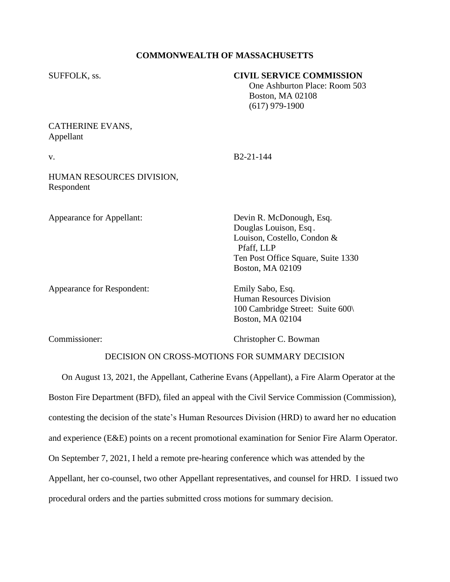## **COMMONWEALTH OF MASSACHUSETTS**

| SUFFOLK, ss.                            | <b>CIVIL SERVICE COMMISSION</b><br>One Ashburton Place: Room 503<br><b>Boston, MA 02108</b><br>$(617)$ 979-1900 |
|-----------------------------------------|-----------------------------------------------------------------------------------------------------------------|
| CATHERINE EVANS,<br>Appellant           |                                                                                                                 |
| V.                                      | B <sub>2</sub> -21-144                                                                                          |
| HUMAN RESOURCES DIVISION,<br>Respondent |                                                                                                                 |
| Appearance for Appellant:               | Devin R. McDonough, Esq.                                                                                        |

Appearance for Respondent: Emily Sabo, Esq.

Douglas Louison, Esq . Louison, Costello, Condon & Pfaff, LLP Ten Post Office Square, Suite 1330 Boston, MA 02109

Human Resources Division 100 Cambridge Street: Suite 600\ Boston, MA 02104

Commissioner: Christopher C. Bowman

## DECISION ON CROSS-MOTIONS FOR SUMMARY DECISION

On August 13, 2021, the Appellant, Catherine Evans (Appellant), a Fire Alarm Operator at the Boston Fire Department (BFD), filed an appeal with the Civil Service Commission (Commission), contesting the decision of the state's Human Resources Division (HRD) to award her no education and experience (E&E) points on a recent promotional examination for Senior Fire Alarm Operator. On September 7, 2021, I held a remote pre-hearing conference which was attended by the Appellant, her co-counsel, two other Appellant representatives, and counsel for HRD. I issued two procedural orders and the parties submitted cross motions for summary decision.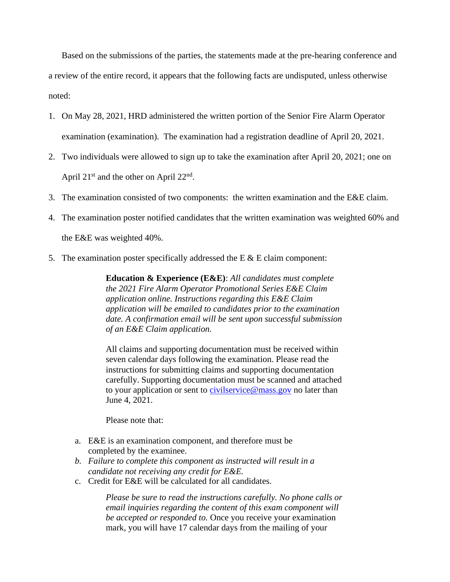Based on the submissions of the parties, the statements made at the pre-hearing conference and a review of the entire record, it appears that the following facts are undisputed, unless otherwise noted:

- 1. On May 28, 2021, HRD administered the written portion of the Senior Fire Alarm Operator examination (examination). The examination had a registration deadline of April 20, 2021.
- 2. Two individuals were allowed to sign up to take the examination after April 20, 2021; one on April  $21^{\text{st}}$  and the other on April  $22^{\text{nd}}$ .
- 3. The examination consisted of two components: the written examination and the E&E claim.
- 4. The examination poster notified candidates that the written examination was weighted 60% and the E&E was weighted 40%.
- 5. The examination poster specifically addressed the  $E \& E$  claim component:

**Education & Experience (E&E)**: *All candidates must complete the 2021 Fire Alarm Operator Promotional Series E&E Claim application online. Instructions regarding this E&E Claim application will be emailed to candidates prior to the examination date. A confirmation email will be sent upon successful submission of an E&E Claim application.*

All claims and supporting documentation must be received within seven calendar days following the examination. Please read the instructions for submitting claims and supporting documentation carefully. Supporting documentation must be scanned and attached to your application or sent to [civilservice@](mailto:civilservice@state.ma.us)[mass.gov](https://mass.gov/) no later than June 4, 2021.

Please note that:

- a. E&E is an examination component, and therefore must be completed by the examinee.
- *b. Failure to complete this component as instructed will result in a candidate not receiving any credit for E&E.*
- c. Credit for E&E will be calculated for all candidates.

*Please be sure to read the instructions carefully. No phone calls or email inquiries regarding the content of this exam component will be accepted or responded to.* Once you receive your examination mark, you will have 17 calendar days from the mailing of your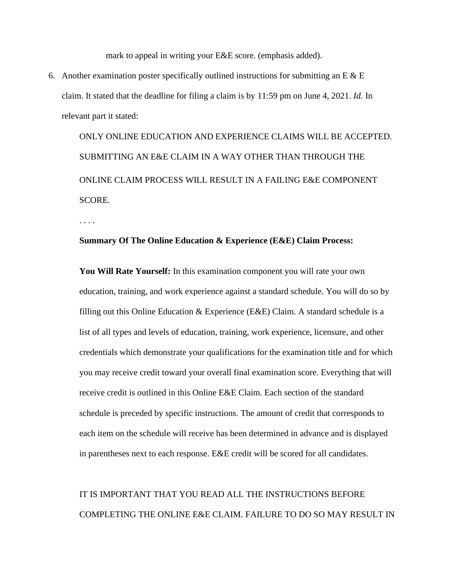mark to appeal in writing your E&E score. (emphasis added).

6. Another examination poster specifically outlined instructions for submitting an E  $\&$  E claim. It stated that the deadline for filing a claim is by 11:59 pm on June 4, 2021. *Id.* In relevant part it stated:

ONLY ONLINE EDUCATION AND EXPERIENCE CLAIMS WILL BE ACCEPTED. SUBMITTING AN E&E CLAIM IN A WAY OTHER THAN THROUGH THE ONLINE CLAIM PROCESS WILL RESULT IN A FAILING E&E COMPONENT SCORE.

. . . .

## **Summary Of The Online Education & Experience (E&E) Claim Process:**

**You Will Rate Yourself:** In this examination component you will rate your own education, training, and work experience against a standard schedule. You will do so by filling out this Online Education & Experience (E&E) Claim. A standard schedule is a list of all types and levels of education, training, work experience, licensure, and other credentials which demonstrate your qualifications for the examination title and for which you may receive credit toward your overall final examination score. Everything that will receive credit is outlined in this Online E&E Claim. Each section of the standard schedule is preceded by specific instructions. The amount of credit that corresponds to each item on the schedule will receive has been determined in advance and is displayed in parentheses next to each response. E&E credit will be scored for all candidates.

## IT IS IMPORTANT THAT YOU READ ALL THE INSTRUCTIONS BEFORE COMPLETING THE ONLINE E&E CLAIM. FAILURE TO DO SO MAY RESULT IN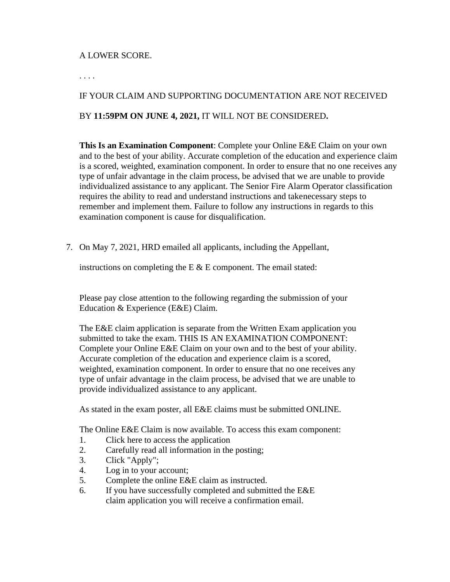## A LOWER SCORE.

. . . .

# IF YOUR CLAIM AND SUPPORTING DOCUMENTATION ARE NOT RECEIVED BY **11:59PM ON JUNE 4, 2021,** IT WILL NOT BE CONSIDERED**.**

**This Is an Examination Component**: Complete your Online E&E Claim on your own and to the best of your ability. Accurate completion of the education and experience claim is a scored, weighted, examination component. In order to ensure that no one receives any type of unfair advantage in the claim process, be advised that we are unable to provide individualized assistance to any applicant. The Senior Fire Alarm Operator classification requires the ability to read and understand instructions and takenecessary steps to remember and implement them. Failure to follow any instructions in regards to this examination component is cause for disqualification.

7. On May 7, 2021, HRD emailed all applicants, including the Appellant,

instructions on completing the E  $&$  E component. The email stated:

Please pay close attention to the following regarding the submission of your Education & Experience (E&E) Claim.

The E&E claim application is separate from the Written Exam application you submitted to take the exam. THIS IS AN EXAMINATION COMPONENT: Complete your Online E&E Claim on your own and to the best of your ability. Accurate completion of the education and experience claim is a scored, weighted, examination component. In order to ensure that no one receives any type of unfair advantage in the claim process, be advised that we are unable to provide individualized assistance to any applicant.

As stated in the exam poster, all E&E claims must be submitted ONLINE.

The Online E&E Claim is now available. To access this exam component:

- 1. Click here to access the application
- 2. Carefully read all information in the posting;
- 3. Click "Apply";
- 4. Log in to your account;
- 5. Complete the online E&E claim as instructed.
- 6. If you have successfully completed and submitted the E&E claim application you will receive a confirmation email.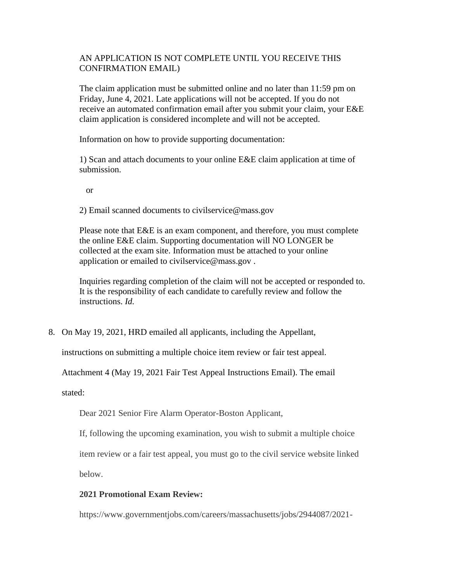## AN APPLICATION IS NOT COMPLETE UNTIL YOU RECEIVE THIS CONFIRMATION EMAIL)

The claim application must be submitted online and no later than 11:59 pm on Friday, June 4, 2021. Late applications will not be accepted. If you do not receive an automated confirmation email after you submit your claim, your E&E claim application is considered incomplete and will not be accepted.

Information on how to provide supporting documentation:

1) Scan and attach documents to your online E&E claim application at time of submission.

or

2) Email scanned documents to [civilservice@mass.gov](mailto:civilservice@mass.gov)

Please note that E&E is an exam component, and therefore, you must complete the online E&E claim. Supporting documentation will NO LONGER be collected at the exam site. Information must be attached to your online application or emailed to [civilservice@mass.gov](mailto:civilservice@mass.gov) .

Inquiries regarding completion of the claim will not be accepted or responded to. It is the responsibility of each candidate to carefully review and follow the instructions. *Id.*

8. On May 19, 2021, HRD emailed all applicants, including the Appellant,

instructions on submitting a multiple choice item review or fair test appeal.

Attachment 4 (May 19, 2021 Fair Test Appeal Instructions Email). The email

stated:

Dear 2021 Senior Fire Alarm Operator-Boston Applicant,

If, following the upcoming examination, you wish to submit a multiple choice

item review or a fair test appeal, you must go to the civil service website linked

below.

## **2021 Promotional Exam Review:**

https:/[/www.governmentjobs.com/careers/massachusetts/jobs/2944087/2021-](http://www.governmentjobs.com/careers/massachusetts/jobs/2944087/2021-)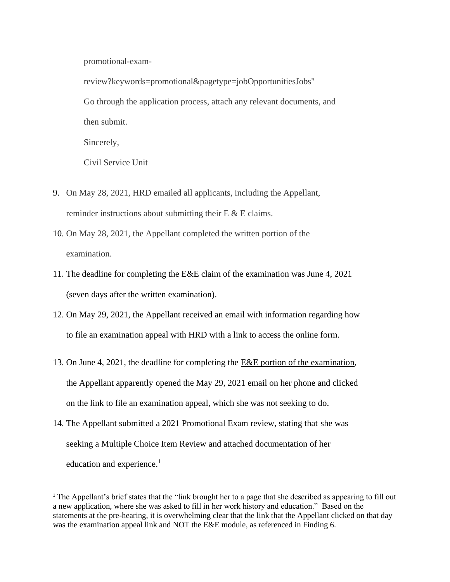promotional-exam-

review?keywords=promotional&pagetype=jobOpportunitiesJobs" Go through the application process, attach any relevant documents, and then submit.

Sincerely,

Civil Service Unit

- 9. On May 28, 2021, HRD emailed all applicants, including the Appellant, reminder instructions about submitting their  $E \& E$  claims.
- 10. On May 28, 2021, the Appellant completed the written portion of the examination.
- 11. The deadline for completing the E&E claim of the examination was June 4, 2021 (seven days after the written examination).
- 12. On May 29, 2021, the Appellant received an email with information regarding how to file an examination appeal with HRD with a link to access the online form.
- 13. On June 4, 2021, the deadline for completing the E&E portion of the examination, the Appellant apparently opened the May 29, 2021 email on her phone and clicked on the link to file an examination appeal, which she was not seeking to do.
- 14. The Appellant submitted a 2021 Promotional Exam review, stating that she was seeking a Multiple Choice Item Review and attached documentation of her education and experience.<sup>1</sup>

<sup>&</sup>lt;sup>1</sup> The Appellant's brief states that the "link brought her to a page that she described as appearing to fill out a new application, where she was asked to fill in her work history and education." Based on the statements at the pre-hearing, it is overwhelming clear that the link that the Appellant clicked on that day was the examination appeal link and NOT the E&E module, as referenced in Finding 6.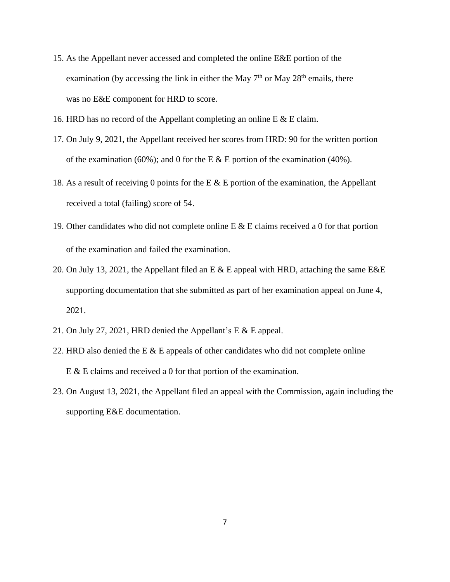- 15. As the Appellant never accessed and completed the online E&E portion of the examination (by accessing the link in either the May  $7<sup>th</sup>$  or May  $28<sup>th</sup>$  emails, there was no E&E component for HRD to score.
- 16. HRD has no record of the Appellant completing an online E & E claim.
- 17. On July 9, 2021, the Appellant received her scores from HRD: 90 for the written portion of the examination (60%); and 0 for the E  $&$  E portion of the examination (40%).
- 18. As a result of receiving 0 points for the E  $&$  E portion of the examination, the Appellant received a total (failing) score of 54.
- 19. Other candidates who did not complete online E & E claims received a 0 for that portion of the examination and failed the examination.
- 20. On July 13, 2021, the Appellant filed an E & E appeal with HRD, attaching the same E&E supporting documentation that she submitted as part of her examination appeal on June 4, 2021.
- 21. On July 27, 2021, HRD denied the Appellant's E & E appeal.
- 22. HRD also denied the E  $&$  E appeals of other candidates who did not complete online E & E claims and received a 0 for that portion of the examination.
- 23. On August 13, 2021, the Appellant filed an appeal with the Commission, again including the supporting E&E documentation.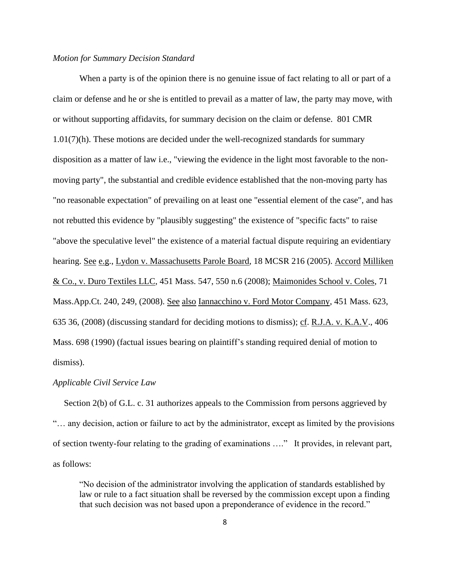### *Motion for Summary Decision Standard*

When a party is of the opinion there is no genuine issue of fact relating to all or part of a claim or defense and he or she is entitled to prevail as a matter of law, the party may move, with or without supporting affidavits, for summary decision on the claim or defense. 801 CMR 1.01(7)(h). These motions are decided under the well-recognized standards for summary disposition as a matter of law i.e., "viewing the evidence in the light most favorable to the nonmoving party", the substantial and credible evidence established that the non-moving party has "no reasonable expectation" of prevailing on at least one "essential element of the case", and has not rebutted this evidence by "plausibly suggesting" the existence of "specific facts" to raise "above the speculative level" the existence of a material factual dispute requiring an evidentiary hearing. See e.g., Lydon v. Massachusetts Parole Board, 18 MCSR 216 (2005). Accord Milliken & Co., v. Duro Textiles LLC, [451 Mass. 547,](http://sll.gvpi.net/document.php?field=jd&value=sjcapp:451_mass._547) 550 n.6 (2008); Maimonides School v. Coles, 71 Mass.App.Ct. 240, 249, (2008). See also Iannacchino v. Ford Motor Company, [451 Mass. 623,](http://sll.gvpi.net/document.php?field=jd&value=sjcapp:451_mass._623) 635 36, (2008) (discussing standard for deciding motions to dismiss); cf. R.J.A. v. K.A.V., [406](http://sll.gvpi.net/document.php?field=jd&value=sjcapp:406_mass._698)  [Mass. 698](http://sll.gvpi.net/document.php?field=jd&value=sjcapp:406_mass._698) (1990) (factual issues bearing on plaintiff's standing required denial of motion to dismiss).

#### *Applicable Civil Service Law*

 Section 2(b) of G.L. c. 31 authorizes appeals to the Commission from persons aggrieved by "… any decision, action or failure to act by the administrator, except as limited by the provisions of section twenty-four relating to the grading of examinations …." It provides, in relevant part, as follows:

"No decision of the administrator involving the application of standards established by law or rule to a fact situation shall be reversed by the commission except upon a finding that such decision was not based upon a preponderance of evidence in the record."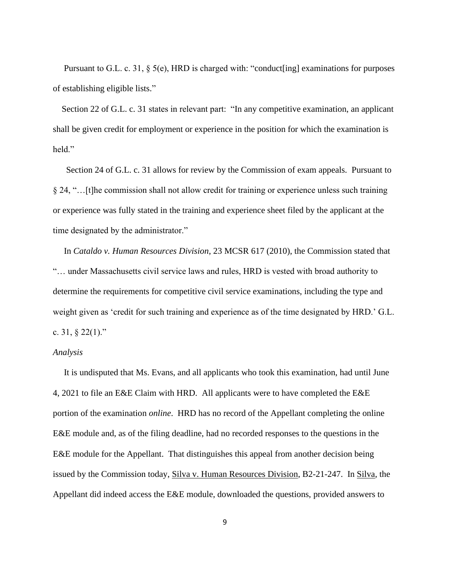Pursuant to G.L. c. 31, § 5(e), HRD is charged with: "conduct[ing] examinations for purposes of establishing eligible lists."

Section 22 of G.L. c. 31 states in relevant part: "In any competitive examination, an applicant shall be given credit for employment or experience in the position for which the examination is held."

 Section 24 of G.L. c. 31 allows for review by the Commission of exam appeals. Pursuant to § 24, "…[t]he commission shall not allow credit for training or experience unless such training or experience was fully stated in the training and experience sheet filed by the applicant at the time designated by the administrator."

 In *Cataldo v. Human Resources Division*, 23 MCSR 617 (2010), the Commission stated that "… under Massachusetts civil service laws and rules, HRD is vested with broad authority to determine the requirements for competitive civil service examinations, including the type and weight given as 'credit for such training and experience as of the time designated by HRD.' G.L. c. 31,  $\S$  22(1)."

#### *Analysis*

 It is undisputed that Ms. Evans, and all applicants who took this examination, had until June 4, 2021 to file an E&E Claim with HRD. All applicants were to have completed the E&E portion of the examination *online*. HRD has no record of the Appellant completing the online E&E module and, as of the filing deadline, had no recorded responses to the questions in the E&E module for the Appellant. That distinguishes this appeal from another decision being issued by the Commission today, Silva v. Human Resources Division, B2-21-247. In Silva, the Appellant did indeed access the E&E module, downloaded the questions, provided answers to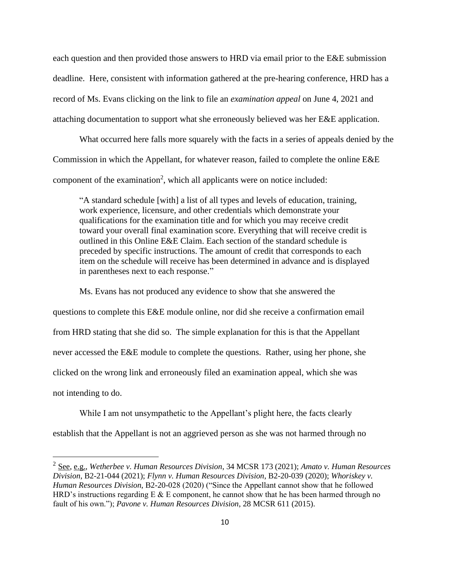each question and then provided those answers to HRD via email prior to the E&E submission deadline. Here, consistent with information gathered at the pre-hearing conference, HRD has a record of Ms. Evans clicking on the link to file an *examination appeal* on June 4, 2021 and attaching documentation to support what she erroneously believed was her E&E application.

What occurred here falls more squarely with the facts in a series of appeals denied by the Commission in which the Appellant, for whatever reason, failed to complete the online E&E component of the examination<sup>2</sup>, which all applicants were on notice included:

"A standard schedule [with] a list of all types and levels of education, training, work experience, licensure, and other credentials which demonstrate your qualifications for the examination title and for which you may receive credit toward your overall final examination score. Everything that will receive credit is outlined in this Online E&E Claim. Each section of the standard schedule is preceded by specific instructions. The amount of credit that corresponds to each item on the schedule will receive has been determined in advance and is displayed in parentheses next to each response."

Ms. Evans has not produced any evidence to show that she answered the questions to complete this E&E module online, nor did she receive a confirmation email from HRD stating that she did so. The simple explanation for this is that the Appellant never accessed the E&E module to complete the questions. Rather, using her phone, she clicked on the wrong link and erroneously filed an examination appeal, which she was not intending to do.

While I am not unsympathetic to the Appellant's plight here, the facts clearly establish that the Appellant is not an aggrieved person as she was not harmed through no

<sup>2</sup> See, e.g., *Wetherbee v. Human Resources Division*, 34 MCSR 173 (2021); *Amato v. Human Resources Division*, B2-21-044 (2021); *Flynn v. Human Resources Division*, B2-20-039 (2020); *Whoriskey v. Human Resources Division*, B2-20-028 (2020) ("Since the Appellant cannot show that he followed HRD's instructions regarding  $E \& E$  component, he cannot show that he has been harmed through no fault of his own."); *Pavone v. Human Resources Division*, 28 MCSR 611 (2015).